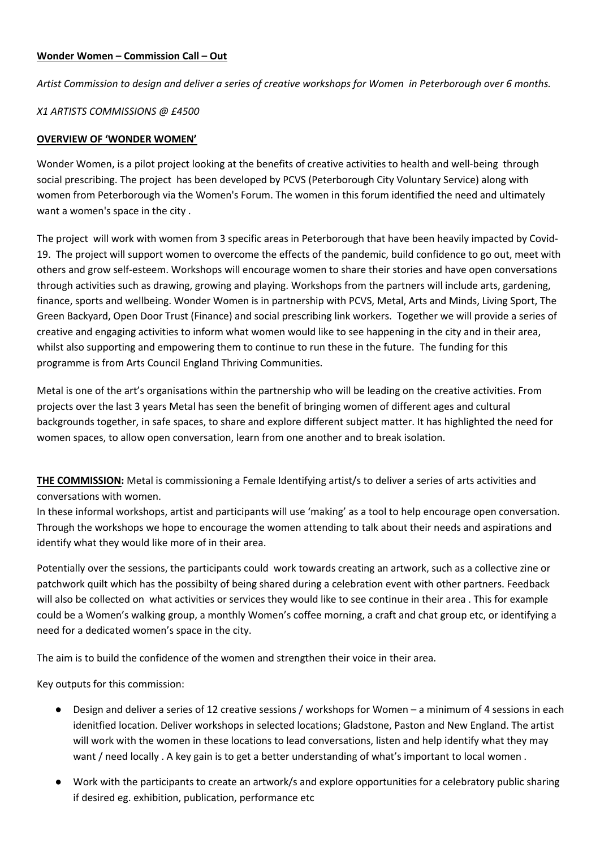## **Wonder Women – Commission Call – Out**

*Artist Commission to design and deliver a series of creative workshops for Women in Peterborough over 6 months.* 

### *X1 ARTISTS COMMISSIONS @ £4500*

#### **OVERVIEW OF 'WONDER WOMEN'**

Wonder Women, is a pilot project looking at the benefits of creative activities to health and well-being through social prescribing. The project has been developed by PCVS (Peterborough City Voluntary Service) along with women from Peterborough via the Women's Forum. The women in this forum identified the need and ultimately want a women's space in the city .

The project will work with women from 3 specific areas in Peterborough that have been heavily impacted by Covid-19. The project will support women to overcome the effects of the pandemic, build confidence to go out, meet with others and grow self-esteem. Workshops will encourage women to share their stories and have open conversations through activities such as drawing, growing and playing. Workshops from the partners will include arts, gardening, finance, sports and wellbeing. Wonder Women is in partnership with PCVS, Metal, Arts and Minds, Living Sport, The Green Backyard, Open Door Trust (Finance) and social prescribing link workers. Together we will provide a series of creative and engaging activities to inform what women would like to see happening in the city and in their area, whilst also supporting and empowering them to continue to run these in the future. The funding for this programme is from Arts Council England Thriving Communities.

Metal is one of the art's organisations within the partnership who will be leading on the creative activities. From projects over the last 3 years Metal has seen the benefit of bringing women of different ages and cultural backgrounds together, in safe spaces, to share and explore different subject matter. It has highlighted the need for women spaces, to allow open conversation, learn from one another and to break isolation.

**THE COMMISSION:** Metal is commissioning a Female Identifying artist/s to deliver a series of arts activities and conversations with women.

In these informal workshops, artist and participants will use 'making' as a tool to help encourage open conversation. Through the workshops we hope to encourage the women attending to talk about their needs and aspirations and identify what they would like more of in their area.

Potentially over the sessions, the participants could work towards creating an artwork, such as a collective zine or patchwork quilt which has the possibilty of being shared during a celebration event with other partners. Feedback will also be collected on what activities or services they would like to see continue in their area . This for example could be a Women's walking group, a monthly Women's coffee morning, a craft and chat group etc, or identifying a need for a dedicated women's space in the city.

The aim is to build the confidence of the women and strengthen their voice in their area.

Key outputs for this commission:

- Design and deliver a series of 12 creative sessions / workshops for Women a minimum of 4 sessions in each idenitfied location. Deliver workshops in selected locations; Gladstone, Paston and New England. The artist will work with the women in these locations to lead conversations, listen and help identify what they may want / need locally . A key gain is to get a better understanding of what's important to local women .
- Work with the participants to create an artwork/s and explore opportunities for a celebratory public sharing if desired eg. exhibition, publication, performance etc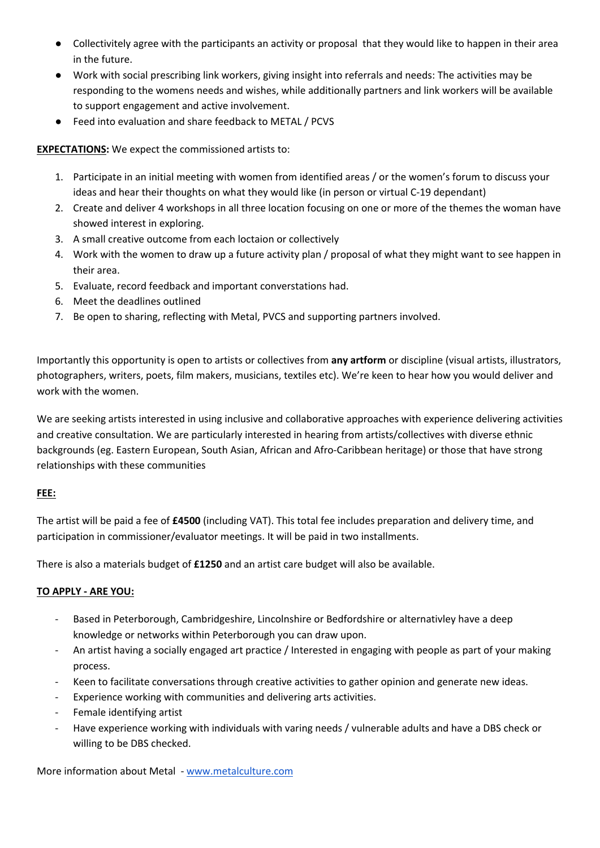- Collectivitely agree with the participants an activity or proposal that they would like to happen in their area in the future.
- Work with social prescribing link workers, giving insight into referrals and needs: The activities may be responding to the womens needs and wishes, while additionally partners and link workers will be available to support engagement and active involvement.
- Feed into evaluation and share feedback to METAL / PCVS

**EXPECTATIONS:** We expect the commissioned artists to:

- 1. Participate in an initial meeting with women from identified areas / or the women's forum to discuss your ideas and hear their thoughts on what they would like (in person or virtual C-19 dependant)
- 2. Create and deliver 4 workshops in all three location focusing on one or more of the themes the woman have showed interest in exploring.
- 3. A small creative outcome from each loctaion or collectively
- 4. Work with the women to draw up a future activity plan / proposal of what they might want to see happen in their area.
- 5. Evaluate, record feedback and important converstations had.
- 6. Meet the deadlines outlined
- 7. Be open to sharing, reflecting with Metal, PVCS and supporting partners involved.

Importantly this opportunity is open to artists or collectives from **any artform** or discipline (visual artists, illustrators, photographers, writers, poets, film makers, musicians, textiles etc). We're keen to hear how you would deliver and work with the women.

We are seeking artists interested in using inclusive and collaborative approaches with experience delivering activities and creative consultation. We are particularly interested in hearing from artists/collectives with diverse ethnic backgrounds (eg. Eastern European, South Asian, African and Afro-Caribbean heritage) or those that have strong relationships with these communities

# **FEE:**

The artist will be paid a fee of **£4500** (including VAT). This total fee includes preparation and delivery time, and participation in commissioner/evaluator meetings. It will be paid in two installments.

There is also a materials budget of **£1250** and an artist care budget will also be available.

# **TO APPLY - ARE YOU:**

- Based in Peterborough, Cambridgeshire, Lincolnshire or Bedfordshire or alternativley have a deep knowledge or networks within Peterborough you can draw upon.
- An artist having a socially engaged art practice / Interested in engaging with people as part of your making process.
- Keen to facilitate conversations through creative activities to gather opinion and generate new ideas.
- Experience working with communities and delivering arts activities.
- Female identifying artist
- Have experience working with individuals with varing needs / vulnerable adults and have a DBS check or willing to be DBS checked.

More information about Metal - www.metalculture.com